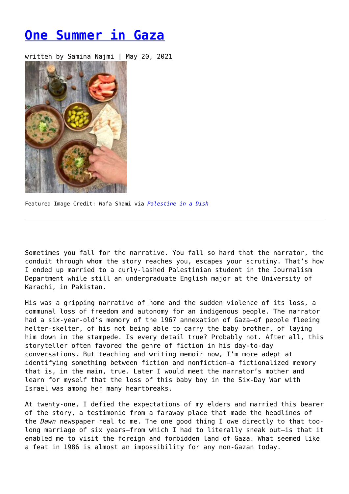## **[One Summer in Gaza](https://entropymag.org/one-summer-in-gaza/)**

written by Samina Najmi | May 20, 2021



Featured Image Credit: Wafa Shami via *[Palestine in a Dish](https://palestineinadish.com/recipes/foul-mudammas-fava-beans/)*

Sometimes you fall for the narrative. You fall so hard that the narrator, the conduit through whom the story reaches you, escapes your scrutiny. That's how I ended up married to a curly-lashed Palestinian student in the Journalism Department while still an undergraduate English major at the University of Karachi, in Pakistan.

His was a gripping narrative of home and the sudden violence of its loss, a communal loss of freedom and autonomy for an indigenous people. The narrator had a six-year-old's memory of the 1967 annexation of Gaza—of people fleeing helter-skelter, of his not being able to carry the baby brother, of laying him down in the stampede. Is every detail true? Probably not. After all, this storyteller often favored the genre of fiction in his day-to-day conversations. But teaching and writing memoir now, I'm more adept at identifying something between fiction and nonfiction—a fictionalized memory that is, in the main, true. Later I would meet the narrator's mother and learn for myself that the loss of this baby boy in the Six-Day War with Israel was among her many heartbreaks.

At twenty-one, I defied the expectations of my elders and married this bearer of the story, a testimonio from a faraway place that made the headlines of the *Dawn* newspaper real to me. The one good thing I owe directly to that toolong marriage of six years—from which I had to literally sneak out—is that it enabled me to visit the foreign and forbidden land of Gaza. What seemed like a feat in 1986 is almost an impossibility for any non-Gazan today.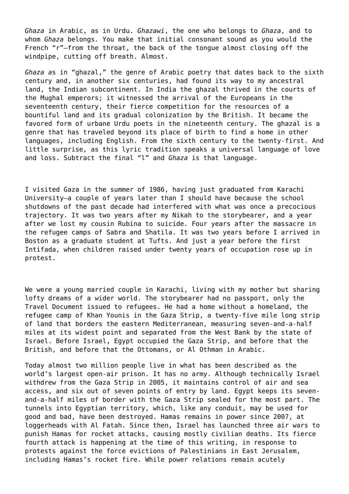*Ghaza* in Arabic, as in Urdu. *Ghazawi*, the one who belongs to *Ghaza*, and to whom *Ghaza* belongs*.* You make that initial consonant sound as you would the French "r"—from the throat, the back of the tongue almost closing off the windpipe, cutting off breath. Almost.

*Ghaza a*s in "ghazal," the genre of Arabic poetry that dates back to the sixth century and, in another six centuries, had found its way to my ancestral land, the Indian subcontinent. In India the ghazal thrived in the courts of the Mughal emperors; it witnessed the arrival of the Europeans in the seventeenth century, their fierce competition for the resources of a bountiful land and its gradual colonization by the British. It became the favored form of urbane Urdu poets in the nineteenth century. The ghazal is a genre that has traveled beyond its place of birth to find a home in other languages, including English. From the sixth century to the twenty-first. And little surprise, as this lyric tradition speaks a universal language of love and loss. Subtract the final "l" and *Ghaza* is that language.

I visited Gaza in the summer of 1986, having just graduated from Karachi University—a couple of years later than I should have because the school shutdowns of the past decade had interfered with what was once a precocious trajectory. It was two years after my Nikah to the storybearer, and a year after we lost my cousin Rubina to suicide. Four years after the massacre in the refugee camps of Sabra and Shatila. It was two years before I arrived in Boston as a graduate student at Tufts. And just a year before the first Intifada, when children raised under twenty years of occupation rose up in protest.

We were a young married couple in Karachi, living with my mother but sharing lofty dreams of a wider world. The storybearer had no passport, only the Travel Document issued to refugees. He had a home without a homeland, the refugee camp of Khan Younis in the Gaza Strip, a twenty-five mile long strip of land that borders the eastern Mediterranean, measuring seven-and-a-half miles at its widest point and separated from the West Bank by the state of Israel. Before Israel, Egypt occupied the Gaza Strip, and before that the British, and before that the Ottomans, or Al Othman in Arabic.

Today almost two million people live in what has been described as the world's largest open-air prison. It has no army. Although technically Israel withdrew from the Gaza Strip in 2005, it maintains control of air and sea access, and six out of seven points of entry by land. Egypt keeps its sevenand-a-half miles of border with the Gaza Strip sealed for the most part. The tunnels into Egyptian territory, which, like any conduit, may be used for good and bad, have been destroyed. Hamas remains in power since 2007, at loggerheads with Al Fatah. Since then, Israel has launched three air wars to punish Hamas for rocket attacks, causing mostly civilian deaths. Its fierce fourth attack is happening at the time of this writing, in response to protests against the force evictions of Palestinians in East Jerusalem, including Hamas's rocket fire. While power relations remain acutely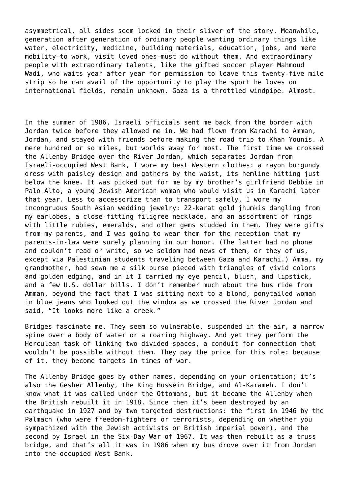asymmetrical, all sides seem locked in their sliver of the story. Meanwhile, generation after generation of ordinary people wanting ordinary things like water, electricity, medicine, building materials, education, jobs, and mere mobility—to work, visit loved ones—must do without them. And extraordinary people with extraordinary talents, like the gifted soccer player Mahmoud Wadi, who waits year after year for permission to leave this twenty-five mile strip so he can avail of the opportunity to play the sport he loves on international fields, remain unknown. Gaza is a throttled windpipe. Almost.

In the summer of 1986, Israeli officials sent me back from the border with Jordan twice before they allowed me in. We had flown from Karachi to Amman, Jordan, and stayed with friends before making the road trip to Khan Younis. A mere hundred or so miles, but worlds away for most. The first time we crossed the Allenby Bridge over the River Jordan, which separates Jordan from Israeli-occupied West Bank, I wore my best Western clothes: a rayon burgundy dress with paisley design and gathers by the waist, its hemline hitting just below the knee. It was picked out for me by my brother's girlfriend Debbie in Palo Alto, a young Jewish American woman who would visit us in Karachi later that year. Less to accessorize than to transport safely, I wore my incongruous South Asian wedding jewelry: 22-karat gold jhumkis dangling from my earlobes, a close-fitting filigree necklace, and an assortment of rings with little rubies, emeralds, and other gems studded in them. They were gifts from my parents, and I was going to wear them for the reception that my parents-in-law were surely planning in our honor. (The latter had no phone and couldn't read or write, so we seldom had news of them, or they of us, except via Palestinian students traveling between Gaza and Karachi.) Amma, my grandmother, had sewn me a silk purse pieced with triangles of vivid colors and golden edging, and in it I carried my eye pencil, blush, and lipstick, and a few U.S. dollar bills. I don't remember much about the bus ride from Amman, beyond the fact that I was sitting next to a blond, ponytailed woman in blue jeans who looked out the window as we crossed the River Jordan and said, "It looks more like a creek."

Bridges fascinate me. They seem so vulnerable, suspended in the air, a narrow spine over a body of water or a roaring highway. And yet they perform the Herculean task of linking two divided spaces, a conduit for connection that wouldn't be possible without them. They pay the price for this role: because of it, they become targets in times of war.

The Allenby Bridge goes by other names, depending on your orientation; it's also the Gesher Allenby, the King Hussein Bridge, and Al-Karameh. I don't know what it was called under the Ottomans, but it became the Allenby when the British rebuilt it in 1918. Since then it's been destroyed by an earthquake in 1927 and by two targeted destructions: the first in 1946 by the Palmach (who were freedom-fighters or terrorists, depending on whether you sympathized with the Jewish activists or British imperial power), and the second by Israel in the Six-Day War of 1967. It was then rebuilt as a truss bridge, and that's all it was in 1986 when my bus drove over it from Jordan into the occupied West Bank.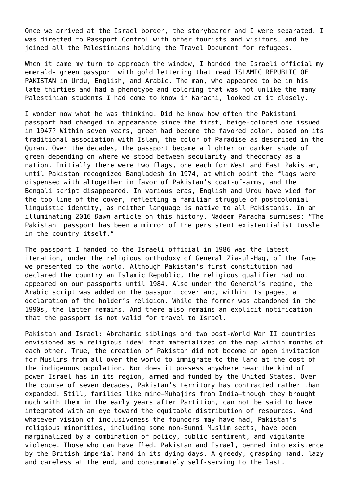Once we arrived at the Israel border, the storybearer and I were separated. I was directed to Passport Control with other tourists and visitors, and he joined all the Palestinians holding the Travel Document for refugees.

When it came my turn to approach the window, I handed the Israeli official my emerald- green passport with gold lettering that read ISLAMIC REPUBLIC OF PAKISTAN in Urdu, English, and Arabic. The man, who appeared to be in his late thirties and had a phenotype and coloring that was not unlike the many Palestinian students I had come to know in Karachi, looked at it closely.

I wonder now what he was thinking. Did he know how often the Pakistani passport had changed in appearance since the first, beige-colored one issued in 1947? Within seven years, green had become the favored color, based on its traditional association with Islam, the color of Paradise as described in the Quran. Over the decades, the passport became a lighter or darker shade of green depending on where we stood between secularity and theocracy as a nation. Initially there were two flags, one each for West and East Pakistan, until Pakistan recognized Bangladesh in 1974, at which point the flags were dispensed with altogether in favor of Pakistan's coat-of-arms, and the Bengali script disappeared. In various eras, English and Urdu have vied for the top line of the cover, reflecting a familiar struggle of postcolonial linguistic identity, as neither language is native to all Pakistanis. In an illuminating 2016 *Dawn* article on this history, Nadeem Paracha surmises: "The Pakistani passport has been a mirror of the persistent existentialist tussle in the country itself."

The passport I handed to the Israeli official in 1986 was the latest iteration, under the religious orthodoxy of General Zia-ul-Haq, of the face we presented to the world. Although Pakistan's first constitution had declared the country an Islamic Republic, the religious qualifier had not appeared on our passports until 1984. Also under the General's regime, the Arabic script was added on the passport cover and, within its pages, a declaration of the holder's religion. While the former was abandoned in the 1990s, the latter remains. And there also remains an explicit notification that the passport is not valid for travel to Israel.

Pakistan and Israel: Abrahamic siblings and two post-World War II countries envisioned as a religious ideal that materialized on the map within months of each other. True, the creation of Pakistan did not become an open invitation for Muslims from all over the world to immigrate to the land at the cost of the indigenous population. Nor does it possess anywhere near the kind of power Israel has in its region, armed and funded by the United States. Over the course of seven decades, Pakistan's territory has contracted rather than expanded. Still, families like mine—Muhajirs from India—though they brought much with them in the early years after Partition, can not be said to have integrated with an eye toward the equitable distribution of resources. And whatever vision of inclusiveness the founders may have had, Pakistan's religious minorities, including some non-Sunni Muslim sects, have been marginalized by a combination of policy, public sentiment, and vigilante violence. Those who can have fled. Pakistan and Israel, penned into existence by the British imperial hand in its dying days. A greedy, grasping hand, lazy and careless at the end, and consummately self-serving to the last.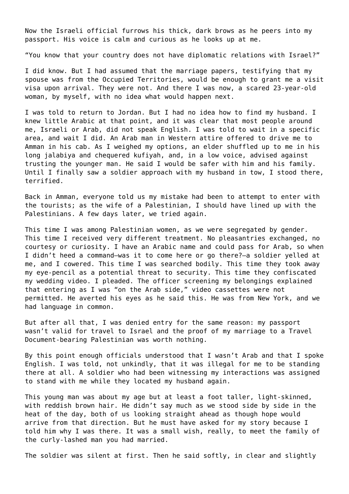Now the Israeli official furrows his thick, dark brows as he peers into my passport. His voice is calm and curious as he looks up at me.

"You know that your country does not have diplomatic relations with Israel?"

I did know. But I had assumed that the marriage papers, testifying that my spouse was from the Occupied Territories, would be enough to grant me a visit visa upon arrival. They were not. And there I was now, a scared 23-year-old woman, by myself, with no idea what would happen next.

I was told to return to Jordan. But I had no idea how to find my husband. I knew little Arabic at that point, and it was clear that most people around me, Israeli or Arab, did not speak English. I was told to wait in a specific area, and wait I did. An Arab man in Western attire offered to drive me to Amman in his cab. As I weighed my options, an elder shuffled up to me in his long jalabiya and chequered kufiyah, and, in a low voice, advised against trusting the younger man. He said I would be safer with him and his family. Until I finally saw a soldier approach with my husband in tow, I stood there, terrified.

Back in Amman, everyone told us my mistake had been to attempt to enter with the tourists; as the wife of a Palestinian, I should have lined up with the Palestinians. A few days later, we tried again.

This time I was among Palestinian women, as we were segregated by gender. This time I received very different treatment. No pleasantries exchanged, no courtesy or curiosity. I have an Arabic name and could pass for Arab, so when I didn't heed a command—was it to come here or go there?—a soldier yelled at me, and I cowered. This time I was searched bodily. This time they took away my eye-pencil as a potential threat to security. This time they confiscated my wedding video. I pleaded. The officer screening my belongings explained that entering as I was "on the Arab side," video cassettes were not permitted. He averted his eyes as he said this. He was from New York, and we had language in common.

But after all that, I was denied entry for the same reason: my passport wasn't valid for travel to Israel and the proof of my marriage to a Travel Document-bearing Palestinian was worth nothing.

By this point enough officials understood that I wasn't Arab and that I spoke English. I was told, not unkindly, that it was illegal for me to be standing there at all. A soldier who had been witnessing my interactions was assigned to stand with me while they located my husband again.

This young man was about my age but at least a foot taller, light-skinned, with reddish brown hair. He didn't say much as we stood side by side in the heat of the day, both of us looking straight ahead as though hope would arrive from that direction. But he must have asked for my story because I told him why I was there. It was a small wish, really, to meet the family of the curly-lashed man you had married.

The soldier was silent at first. Then he said softly, in clear and slightly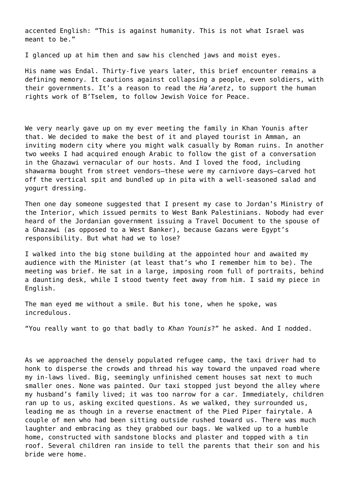accented English: "This is against humanity. This is not what Israel was meant to be."

I glanced up at him then and saw his clenched jaws and moist eyes.

His name was Endal. Thirty-five years later, this brief encounter remains a defining memory. It cautions against collapsing a people, even soldiers, with their governments. It's a reason to read the *Ha'aretz*, to support the human rights work of B'Tselem, to follow Jewish Voice for Peace.

We very nearly gave up on my ever meeting the family in Khan Younis after that. We decided to make the best of it and played tourist in Amman, an inviting modern city where you might walk casually by Roman ruins. In another two weeks I had acquired enough Arabic to follow the gist of a conversation in the Ghazawi vernacular of our hosts. And I loved the food, including shawarma bought from street vendors—these were my carnivore days—carved hot off the vertical spit and bundled up in pita with a well-seasoned salad and yogurt dressing.

Then one day someone suggested that I present my case to Jordan's Ministry of the Interior, which issued permits to West Bank Palestinians. Nobody had ever heard of the Jordanian government issuing a Travel Document to the spouse of a Ghazawi (as opposed to a West Banker), because Gazans were Egypt's responsibility. But what had we to lose?

I walked into the big stone building at the appointed hour and awaited my audience with the Minister (at least that's who I remember him to be). The meeting was brief. He sat in a large, imposing room full of portraits, behind a daunting desk, while I stood twenty feet away from him. I said my piece in English.

The man eyed me without a smile. But his tone, when he spoke, was incredulous.

"You really want to go that badly to *Khan Younis*?" he asked. And I nodded.

As we approached the densely populated refugee camp, the taxi driver had to honk to disperse the crowds and thread his way toward the unpaved road where my in-laws lived. Big, seemingly unfinished cement houses sat next to much smaller ones. None was painted. Our taxi stopped just beyond the alley where my husband's family lived; it was too narrow for a car. Immediately, children ran up to us, asking excited questions. As we walked, they surrounded us, leading me as though in a reverse enactment of the Pied Piper fairytale. A couple of men who had been sitting outside rushed toward us. There was much laughter and embracing as they grabbed our bags. We walked up to a humble home, constructed with sandstone blocks and plaster and topped with a tin roof. Several children ran inside to tell the parents that their son and his bride were home.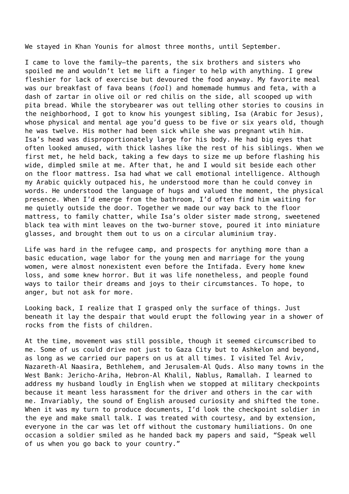We stayed in Khan Younis for almost three months, until September.

I came to love the family—the parents, the six brothers and sisters who spoiled me and wouldn't let me lift a finger to help with anything. I grew fleshier for lack of exercise but devoured the food anyway. My favorite meal was our breakfast of fava beans (*fool*) and homemade hummus and feta, with a dash of zartar in olive oil or red chilis on the side, all scooped up with pita bread. While the storybearer was out telling other stories to cousins in the neighborhood, I got to know his youngest sibling, Isa (Arabic for Jesus), whose physical and mental age you'd guess to be five or six years old, though he was twelve. His mother had been sick while she was pregnant wtih him. Isa's head was disproportionately large for his body. He had big eyes that often looked amused, with thick lashes like the rest of his siblings. When we first met, he held back, taking a few days to size me up before flashing his wide, dimpled smile at me. After that, he and I would sit beside each other on the floor mattress. Isa had what we call emotional intelligence. Although my Arabic quickly outpaced his, he understood more than he could convey in words. He understood the language of hugs and valued the moment, the physical presence. When I'd emerge from the bathroom, I'd often find him waiting for me quietly outside the door. Together we made our way back to the floor mattress, to family chatter, while Isa's older sister made strong, sweetened black tea with mint leaves on the two-burner stove, poured it into miniature glasses, and brought them out to us on a circular aluminium tray.

Life was hard in the refugee camp, and prospects for anything more than a basic education, wage labor for the young men and marriage for the young women, were almost nonexistent even before the Intifada. Every home knew loss, and some knew horror. But it was life nonetheless, and people found ways to tailor their dreams and joys to their circumstances. To hope, to anger, but not ask for more.

Looking back, I realize that I grasped only the surface of things. Just beneath it lay the despair that would erupt the following year in a shower of rocks from the fists of children.

At the time, movement was still possible, though it seemed circumscribed to me. Some of us could drive not just to Gaza City but to Ashkelon and beyond, as long as we carried our papers on us at all times. I visited Tel Aviv, Nazareth-Al Naasira, Bethlehem, and Jerusalem-Al Quds. Also many towns in the West Bank: Jericho-Ariha, Hebron-Al Khalil, Nablus, Ramallah. I learned to address my husband loudly in English when we stopped at military checkpoints because it meant less harassment for the driver and others in the car with me. Invariably, the sound of English aroused curiosity and shifted the tone. When it was my turn to produce documents, I'd look the checkpoint soldier in the eye and make small talk. I was treated with courtesy, and by extension, everyone in the car was let off without the customary humiliations. On one occasion a soldier smiled as he handed back my papers and said, "Speak well of us when you go back to your country."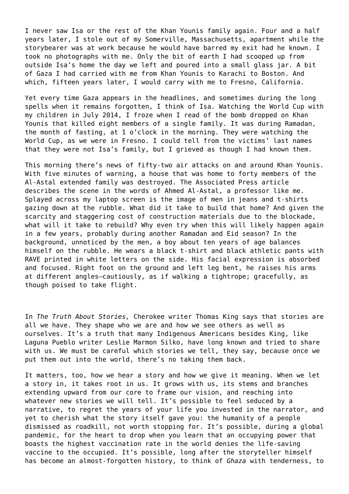I never saw Isa or the rest of the Khan Younis family again. Four and a half years later, I stole out of my Somerville, Massachusetts, apartment while the storybearer was at work because he would have barred my exit had he known. I took no photographs with me. Only the bit of earth I had scooped up from outside Isa's home the day we left and poured into a small glass jar. A bit of Gaza I had carried with me from Khan Younis to Karachi to Boston. And which, fifteen years later, I would carry with me to Fresno, California.

Yet every time Gaza appears in the headlines, and sometimes during the long spells when it remains forgotten, I think of Isa. Watching the World Cup with my children in July 2014, I froze when I read of the bomb dropped on Khan Younis that killed eight members of a single family. It was during Ramadan, the month of fasting, at 1 o'clock in the morning. They were watching the World Cup, as we were in Fresno. I could tell from the victims' last names that they were not Isa's family, but I grieved as though I had known them.

This morning there's news of fifty-two air attacks on and around Khan Younis. With five minutes of warning, a house that was home to forty members of the Al-Astal extended family was destroyed. The Associated Press article describes the scene in the words of Ahmed Al-Astal, a professor like me. Splayed across my laptop screen is the image of men in jeans and t-shirts gazing down at the rubble. What did it take to build that home? And given the scarcity and staggering cost of construction materials due to the blockade, what will it take to rebuild? Why even try when this will likely happen again in a few years, probably during another Ramadan and Eid season? In the background, unnoticed by the men, a boy about ten years of age balances himself on the rubble. He wears a black t-shirt and black athletic pants with RAVE printed in white letters on the side. His facial expression is absorbed and focused. Right foot on the ground and left leg bent, he raises his arms at different angles—cautiously, as if walking a tightrope; gracefully, as though poised to take flight.

In *The Truth About Stories,* Cherokee writer Thomas King says that stories are all we have. They shape who we are and how we see others as well as ourselves. It's a truth that many Indigenous Americans besides King, like Laguna Pueblo writer Leslie Marmon Silko, have long known and tried to share with us. We must be careful which stories we tell, they say, because once we put them out into the world, there's no taking them back.

It matters, too, how we hear a story and how we give it meaning. When we let a story in, it takes root in us. It grows with us, its stems and branches extending upward from our core to frame our vision, and reaching into whatever new stories we will tell. It's possible to feel seduced by a narrative, to regret the years of your life you invested in the narrator, and yet to cherish what the story itself gave you: the humanity of a people dismissed as roadkill, not worth stopping for. It's possible, during a global pandemic, for the heart to drop when you learn that an occupying power that boasts the highest vaccination rate in the world denies the life-saving vaccine to the occupied. It's possible, long after the storyteller himself has become an almost-forgotten history, to think of *Ghaza* with tenderness, to